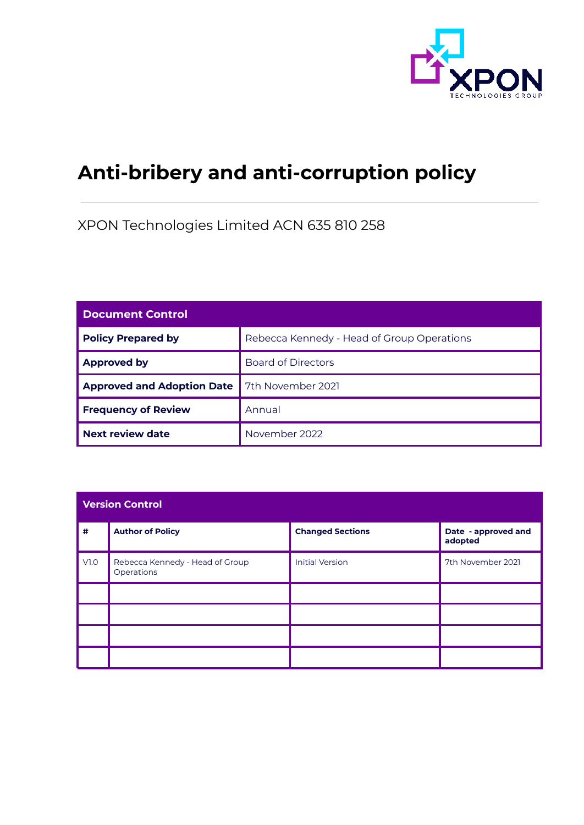

# **Anti-bribery and anti-corruption policy**

XPON Technologies Limited ACN 635 810 258

| <b>Document Control</b>           |                                            |  |
|-----------------------------------|--------------------------------------------|--|
| <b>Policy Prepared by</b>         | Rebecca Kennedy - Head of Group Operations |  |
| <b>Approved by</b>                | <b>Board of Directors</b>                  |  |
| <b>Approved and Adoption Date</b> | 7th November 2021                          |  |
| <b>Frequency of Review</b>        | Annual                                     |  |
| <b>Next review date</b>           | November 2022                              |  |

| <b>Version Control</b> |                                               |                         |                                |  |
|------------------------|-----------------------------------------------|-------------------------|--------------------------------|--|
| $\pmb{\#}$             | <b>Author of Policy</b>                       | <b>Changed Sections</b> | Date - approved and<br>adopted |  |
| V1.0                   | Rebecca Kennedy - Head of Group<br>Operations | <b>Initial Version</b>  | 7th November 2021              |  |
|                        |                                               |                         |                                |  |
|                        |                                               |                         |                                |  |
|                        |                                               |                         |                                |  |
|                        |                                               |                         |                                |  |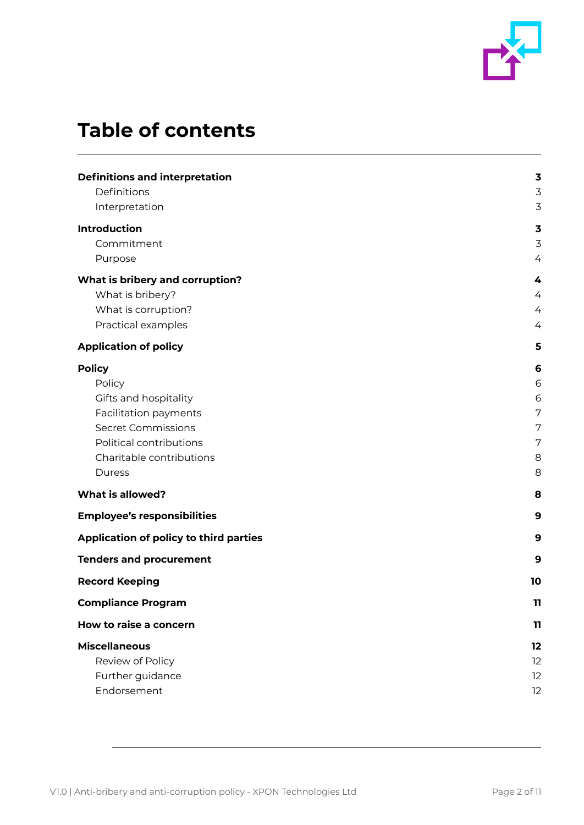

# **Table of contents**

| <b>Definitions and interpretation</b>  | 3  |
|----------------------------------------|----|
| Definitions                            | 3  |
| Interpretation                         | 3  |
| <b>Introduction</b>                    | 3  |
| Commitment                             | 3  |
| Purpose                                | 4  |
| What is bribery and corruption?        | 4  |
| What is bribery?                       | 4  |
| What is corruption?                    | 4  |
| Practical examples                     | 4  |
| <b>Application of policy</b>           | 5  |
| <b>Policy</b>                          | 6  |
| Policy                                 | 6  |
| Gifts and hospitality                  | 6  |
| Facilitation payments                  | 7  |
| <b>Secret Commissions</b>              | 7  |
| Political contributions                | 7  |
| Charitable contributions               | 8  |
| Duress                                 | 8  |
| <b>What is allowed?</b>                | 8  |
| <b>Employee's responsibilities</b>     | 9  |
| Application of policy to third parties | 9  |
| <b>Tenders and procurement</b>         | 9  |
| <b>Record Keeping</b>                  | 10 |
| <b>Compliance Program</b>              | 11 |
| How to raise a concern                 | 11 |
| <b>Miscellaneous</b>                   | 12 |
| Review of Policy                       | 12 |
| Further guidance                       | 12 |
| Endorsement                            | 12 |
|                                        |    |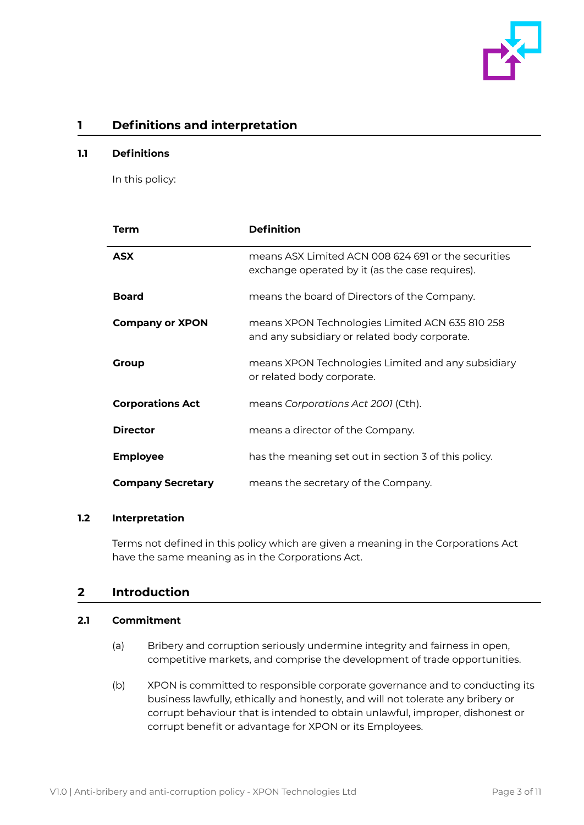

# <span id="page-2-0"></span>**1 Definitions and interpretation**

#### <span id="page-2-1"></span>**1.1 Definitions**

In this policy:

| Term                     | <b>Definition</b>                                                                                      |
|--------------------------|--------------------------------------------------------------------------------------------------------|
| <b>ASX</b>               | means ASX Limited ACN 008 624 691 or the securities<br>exchange operated by it (as the case requires). |
| <b>Board</b>             | means the board of Directors of the Company.                                                           |
| <b>Company or XPON</b>   | means XPON Technologies Limited ACN 635 810 258<br>and any subsidiary or related body corporate.       |
| Group                    | means XPON Technologies Limited and any subsidiary<br>or related body corporate.                       |
| <b>Corporations Act</b>  | means <i>Corporations Act 2001</i> (Cth).                                                              |
| <b>Director</b>          | means a director of the Company.                                                                       |
| <b>Employee</b>          | has the meaning set out in section 3 of this policy.                                                   |
| <b>Company Secretary</b> | means the secretary of the Company.                                                                    |

#### <span id="page-2-2"></span>**1.2 Interpretation**

Terms not defined in this policy which are given a meaning in the Corporations Act have the same meaning as in the Corporations Act.

# <span id="page-2-3"></span>**2 Introduction**

### <span id="page-2-4"></span>**2.1 Commitment**

- (a) Bribery and corruption seriously undermine integrity and fairness in open, competitive markets, and comprise the development of trade opportunities.
- (b) XPON is committed to responsible corporate governance and to conducting its business lawfully, ethically and honestly, and will not tolerate any bribery or corrupt behaviour that is intended to obtain unlawful, improper, dishonest or corrupt benefit or advantage for XPON or its Employees.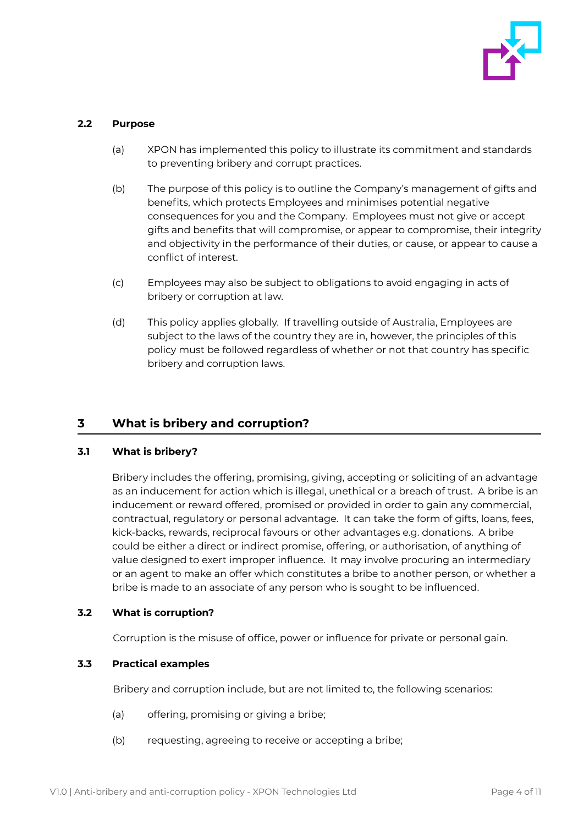

#### <span id="page-3-0"></span>**2.2 Purpose**

- (a) XPON has implemented this policy to illustrate its commitment and standards to preventing bribery and corrupt practices.
- (b) The purpose of this policy is to outline the Company's management of gifts and benefits, which protects Employees and minimises potential negative consequences for you and the Company. Employees must not give or accept gifts and benefits that will compromise, or appear to compromise, their integrity and objectivity in the performance of their duties, or cause, or appear to cause a conflict of interest.
- (c) Employees may also be subject to obligations to avoid engaging in acts of bribery or corruption at law.
- (d) This policy applies globally. If travelling outside of Australia, Employees are subject to the laws of the country they are in, however, the principles of this policy must be followed regardless of whether or not that country has specific bribery and corruption laws.

# <span id="page-3-1"></span>**3 What is bribery and corruption?**

#### <span id="page-3-2"></span>**3.1 What is bribery?**

Bribery includes the offering, promising, giving, accepting or soliciting of an advantage as an inducement for action which is illegal, unethical or a breach of trust. A bribe is an inducement or reward offered, promised or provided in order to gain any commercial, contractual, regulatory or personal advantage. It can take the form of gifts, loans, fees, kick-backs, rewards, reciprocal favours or other advantages e.g. donations. A bribe could be either a direct or indirect promise, offering, or authorisation, of anything of value designed to exert improper influence. It may involve procuring an intermediary or an agent to make an offer which constitutes a bribe to another person, or whether a bribe is made to an associate of any person who is sought to be influenced.

#### <span id="page-3-3"></span>**3.2 What is corruption?**

Corruption is the misuse of office, power or influence for private or personal gain.

#### <span id="page-3-4"></span>**3.3 Practical examples**

Bribery and corruption include, but are not limited to, the following scenarios:

- (a) offering, promising or giving a bribe;
- (b) requesting, agreeing to receive or accepting a bribe;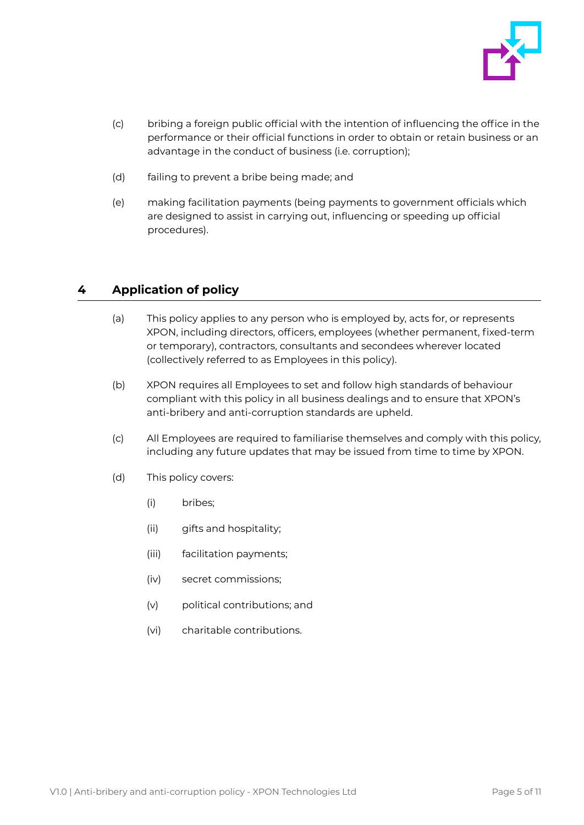

- (c) bribing a foreign public official with the intention of influencing the office in the performance or their official functions in order to obtain or retain business or an advantage in the conduct of business (i.e. corruption);
- (d) failing to prevent a bribe being made; and
- (e) making facilitation payments (being payments to government officials which are designed to assist in carrying out, influencing or speeding up official procedures).

# <span id="page-4-0"></span>**4 Application of policy**

- (a) This policy applies to any person who is employed by, acts for, or represents XPON, including directors, officers, employees (whether permanent, fixed-term or temporary), contractors, consultants and secondees wherever located (collectively referred to as Employees in this policy).
- (b) XPON requires all Employees to set and follow high standards of behaviour compliant with this policy in all business dealings and to ensure that XPON's anti-bribery and anti-corruption standards are upheld.
- (c) All Employees are required to familiarise themselves and comply with this policy, including any future updates that may be issued from time to time by XPON.
- (d) This policy covers:
	- (i) bribes;
	- (ii) gifts and hospitality;
	- (iii) facilitation payments;
	- (iv) secret commissions;
	- (v) political contributions; and
	- (vi) charitable contributions.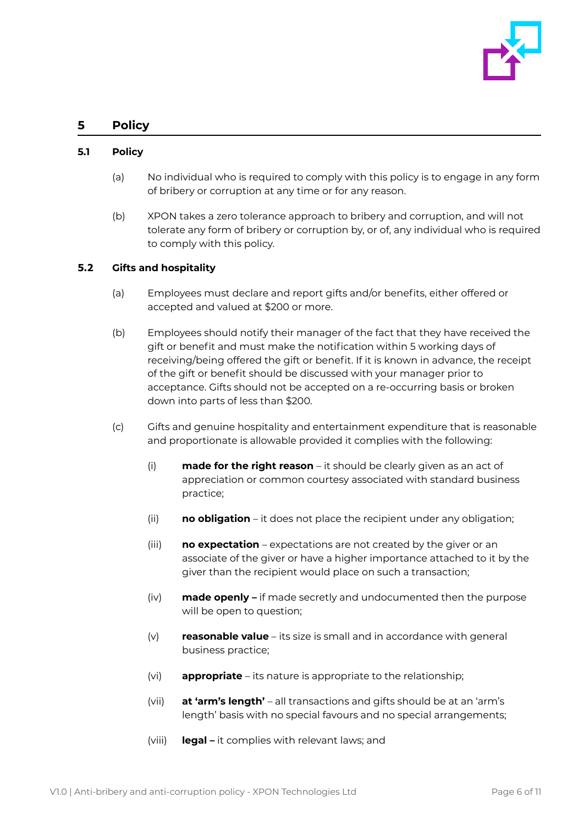

## <span id="page-5-0"></span>**5 Policy**

#### <span id="page-5-1"></span>**5.1 Policy**

- (a) No individual who is required to comply with this policy is to engage in any form of bribery or corruption at any time or for any reason.
- (b) XPON takes a zero tolerance approach to bribery and corruption, and will not tolerate any form of bribery or corruption by, or of, any individual who is required to comply with this policy.

#### <span id="page-5-2"></span>**5.2 Gifts and hospitality**

- (a) Employees must declare and report gifts and/or benefits, either offered or accepted and valued at \$200 or more.
- (b) Employees should notify their manager of the fact that they have received the gift or benefit and must make the notification within 5 working days of receiving/being offered the gift or benefit. If it is known in advance, the receipt of the gift or benefit should be discussed with your manager prior to acceptance. Gifts should not be accepted on a re-occurring basis or broken down into parts of less than \$200.
- (c) Gifts and genuine hospitality and entertainment expenditure that is reasonable and proportionate is allowable provided it complies with the following:
	- (i) **made for the right reason** it should be clearly given as an act of appreciation or common courtesy associated with standard business practice;
	- (ii) **no obligation** it does not place the recipient under any obligation;
	- (iii) **no expectation** expectations are not created by the giver or an associate of the giver or have a higher importance attached to it by the giver than the recipient would place on such a transaction;
	- (iv) **made openly –** if made secretly and undocumented then the purpose will be open to question;
	- (v) **reasonable value** its size is small and in accordance with general business practice;
	- (vi) **appropriate** its nature is appropriate to the relationship;
	- (vii) **at 'arm's length'** all transactions and gifts should be at an 'arm's length' basis with no special favours and no special arrangements;
	- (viii) **legal –** it complies with relevant laws; and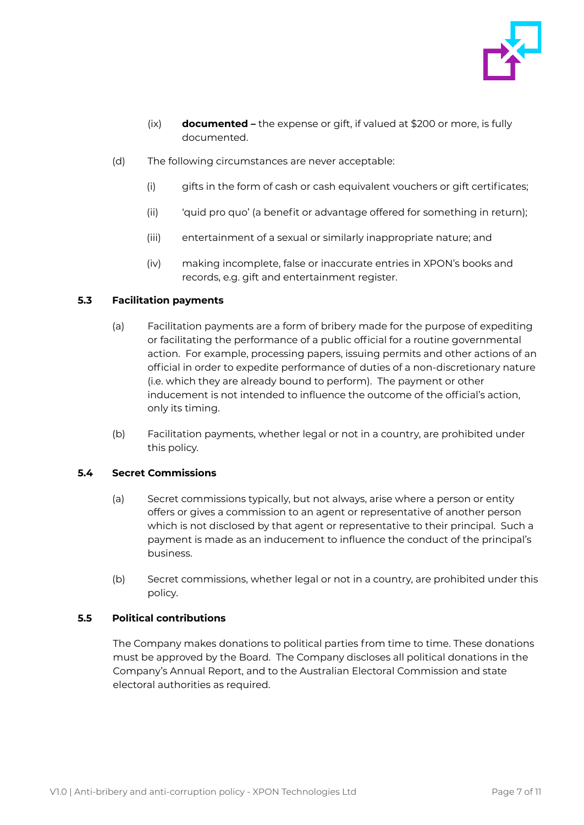

- (ix) **documented –** the expense or gift, if valued at \$200 or more, is fully documented.
- (d) The following circumstances are never acceptable:
	- (i) gifts in the form of cash or cash equivalent vouchers or gift certificates;
	- (ii) 'quid pro quo' (a benefit or advantage offered for something in return);
	- (iii) entertainment of a sexual or similarly inappropriate nature; and
	- (iv) making incomplete, false or inaccurate entries in XPON's books and records, e.g. gift and entertainment register.

#### <span id="page-6-0"></span>**5.3 Facilitation payments**

- (a) Facilitation payments are a form of bribery made for the purpose of expediting or facilitating the performance of a public official for a routine governmental action. For example, processing papers, issuing permits and other actions of an official in order to expedite performance of duties of a non-discretionary nature (i.e. which they are already bound to perform). The payment or other inducement is not intended to influence the outcome of the official's action, only its timing.
- (b) Facilitation payments, whether legal or not in a country, are prohibited under this policy.

#### <span id="page-6-1"></span>**5.4 Secret Commissions**

- (a) Secret commissions typically, but not always, arise where a person or entity offers or gives a commission to an agent or representative of another person which is not disclosed by that agent or representative to their principal. Such a payment is made as an inducement to influence the conduct of the principal's business.
- (b) Secret commissions, whether legal or not in a country, are prohibited under this policy.

#### <span id="page-6-2"></span>**5.5 Political contributions**

The Company makes donations to political parties from time to time. These donations must be approved by the Board. The Company discloses all political donations in the Company's Annual Report, and to the Australian Electoral Commission and state electoral authorities as required.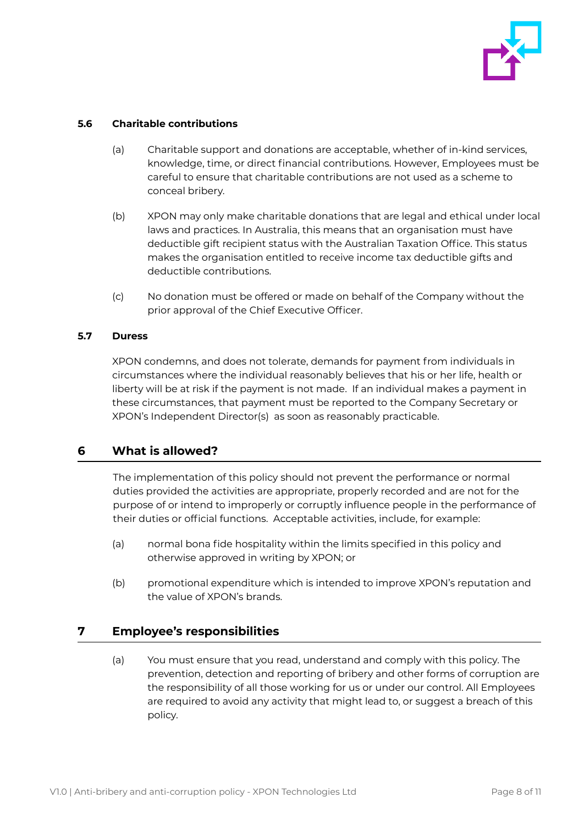

#### <span id="page-7-0"></span>**5.6 Charitable contributions**

- (a) Charitable support and donations are acceptable, whether of in-kind services, knowledge, time, or direct financial contributions. However, Employees must be careful to ensure that charitable contributions are not used as a scheme to conceal bribery.
- (b) XPON may only make charitable donations that are legal and ethical under local laws and practices. In Australia, this means that an organisation must have deductible gift recipient status with the Australian Taxation Office. This status makes the organisation entitled to receive income tax deductible gifts and deductible contributions.
- (c) No donation must be offered or made on behalf of the Company without the prior approval of the Chief Executive Officer.

#### <span id="page-7-1"></span>**5.7 Duress**

XPON condemns, and does not tolerate, demands for payment from individuals in circumstances where the individual reasonably believes that his or her life, health or liberty will be at risk if the payment is not made. If an individual makes a payment in these circumstances, that payment must be reported to the Company Secretary or XPON's Independent Director(s) as soon as reasonably practicable.

## <span id="page-7-2"></span>**6 What is allowed?**

The implementation of this policy should not prevent the performance or normal duties provided the activities are appropriate, properly recorded and are not for the purpose of or intend to improperly or corruptly influence people in the performance of their duties or official functions. Acceptable activities, include, for example:

- (a) normal bona fide hospitality within the limits specified in this policy and otherwise approved in writing by XPON; or
- (b) promotional expenditure which is intended to improve XPON's reputation and the value of XPON's brands.

## <span id="page-7-3"></span>**7 Employee's responsibilities**

(a) You must ensure that you read, understand and comply with this policy. The prevention, detection and reporting of bribery and other forms of corruption are the responsibility of all those working for us or under our control. All Employees are required to avoid any activity that might lead to, or suggest a breach of this policy.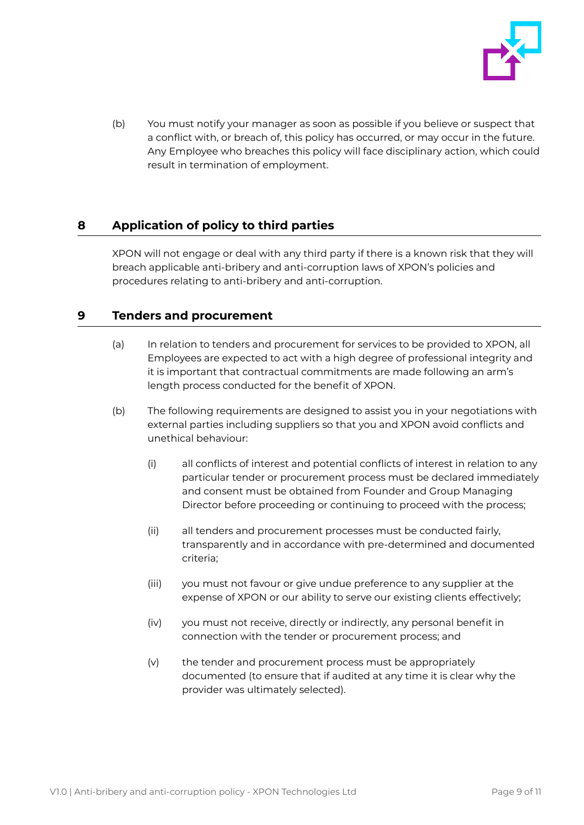

(b) You must notify your manager as soon as possible if you believe or suspect that a conflict with, or breach of, this policy has occurred, or may occur in the future. Any Employee who breaches this policy will face disciplinary action, which could result in termination of employment.

# <span id="page-8-0"></span>**8 Application of policy to third parties**

XPON will not engage or deal with any third party if there is a known risk that they will breach applicable anti-bribery and anti-corruption laws of XPON's policies and procedures relating to anti-bribery and anti-corruption.

# <span id="page-8-1"></span>**9 Tenders and procurement**

- (a) In relation to tenders and procurement for services to be provided to XPON, all Employees are expected to act with a high degree of professional integrity and it is important that contractual commitments are made following an arm's length process conducted for the benefit of XPON.
- (b) The following requirements are designed to assist you in your negotiations with external parties including suppliers so that you and XPON avoid conflicts and unethical behaviour:
	- (i) all conflicts of interest and potential conflicts of interest in relation to any particular tender or procurement process must be declared immediately and consent must be obtained from Founder and Group Managing Director before proceeding or continuing to proceed with the process;
	- (ii) all tenders and procurement processes must be conducted fairly, transparently and in accordance with pre-determined and documented criteria;
	- (iii) you must not favour or give undue preference to any supplier at the expense of XPON or our ability to serve our existing clients effectively;
	- (iv) you must not receive, directly or indirectly, any personal benefit in connection with the tender or procurement process; and
	- $(v)$  the tender and procurement process must be appropriately documented (to ensure that if audited at any time it is clear why the provider was ultimately selected).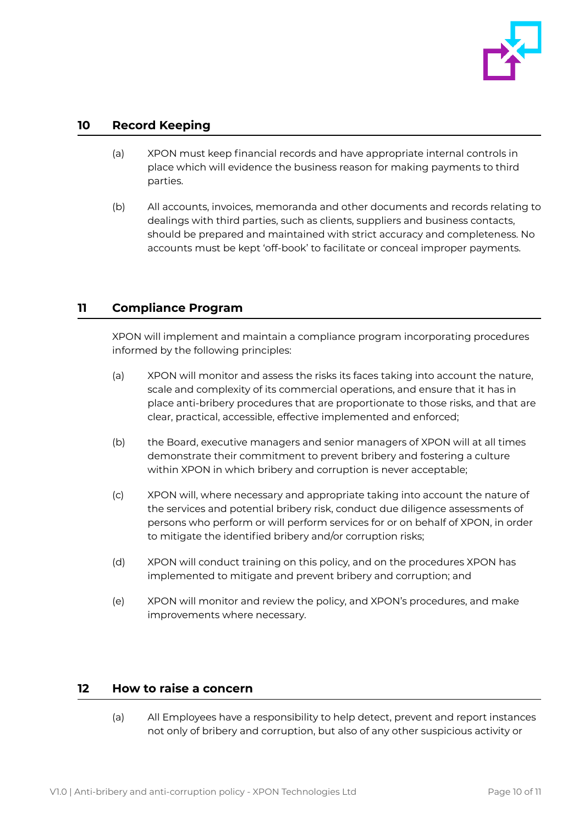

## <span id="page-9-0"></span>**10 Record Keeping**

- (a) XPON must keep financial records and have appropriate internal controls in place which will evidence the business reason for making payments to third parties.
- (b) All accounts, invoices, memoranda and other documents and records relating to dealings with third parties, such as clients, suppliers and business contacts, should be prepared and maintained with strict accuracy and completeness. No accounts must be kept 'off-book' to facilitate or conceal improper payments.

# <span id="page-9-1"></span>**11 Compliance Program**

XPON will implement and maintain a compliance program incorporating procedures informed by the following principles:

- (a) XPON will monitor and assess the risks its faces taking into account the nature, scale and complexity of its commercial operations, and ensure that it has in place anti-bribery procedures that are proportionate to those risks, and that are clear, practical, accessible, effective implemented and enforced;
- (b) the Board, executive managers and senior managers of XPON will at all times demonstrate their commitment to prevent bribery and fostering a culture within XPON in which bribery and corruption is never acceptable;
- (c) XPON will, where necessary and appropriate taking into account the nature of the services and potential bribery risk, conduct due diligence assessments of persons who perform or will perform services for or on behalf of XPON, in order to mitigate the identified bribery and/or corruption risks;
- (d) XPON will conduct training on this policy, and on the procedures XPON has implemented to mitigate and prevent bribery and corruption; and
- (e) XPON will monitor and review the policy, and XPON's procedures, and make improvements where necessary.

## <span id="page-9-2"></span>**12 How to raise a concern**

(a) All Employees have a responsibility to help detect, prevent and report instances not only of bribery and corruption, but also of any other suspicious activity or